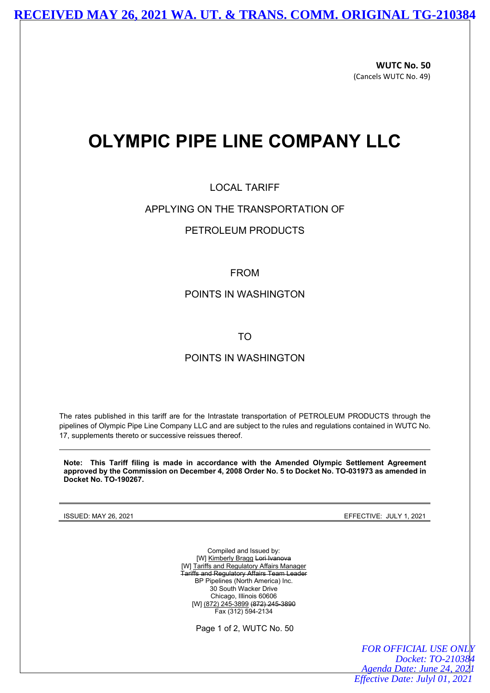**RECEIVED MAY 26, 2021 WA. UT. & TRANS. COMM. ORIGINAL TG-210384**

**WUTC No. 50**  (Cancels WUTC No. 49)

# **OLYMPIC PIPE LINE COMPANY LLC**

# LOCAL TARIFF

#### APPLYING ON THE TRANSPORTATION OF

# PETROLEUM PRODUCTS

#### FROM

#### POINTS IN WASHINGTON

TO

# POINTS IN WASHINGTON

The rates published in this tariff are for the Intrastate transportation of PETROLEUM PRODUCTS through the pipelines of Olympic Pipe Line Company LLC and are subject to the rules and regulations contained in WUTC No. 17, supplements thereto or successive reissues thereof.

**Note: This Tariff filing is made in accordance with the Amended Olympic Settlement Agreement approved by the Commission on December 4, 2008 Order No. 5 to Docket No. TO-031973 as amended in Docket No. TO-190267.**

ISSUED: MAY 26, 2021 EFFECTIVE: JULY 1, 2021

Compiled and Issued by: [W] Kimberly Bragg Lori Ivanova [W] Tariffs and Regulatory Affairs Manager Tariffs and Regulatory Affairs Team Leader BP Pipelines (North America) Inc. 30 South Wacker Drive Chicago, Illinois 60606 [W] (872) 245-3899 (872) 245-3890 Fax  $(312) 594-2134$ 

Page 1 of 2, WUTC No. 50

**FOR OFFICIAL USE ONL** *Docket: TO-210384 Agenda Date: June 24, 20 Effective Date: Julyl 01, 2021*